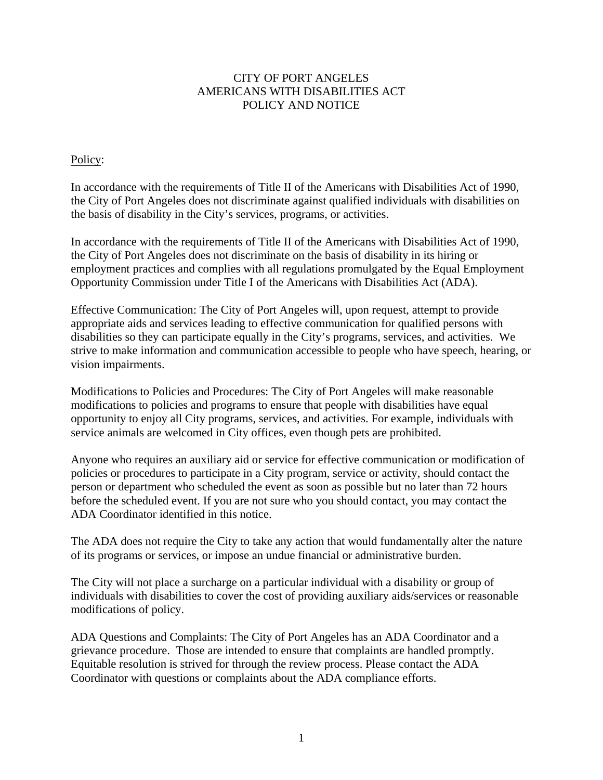## CITY OF PORT ANGELES AMERICANS WITH DISABILITIES ACT POLICY AND NOTICE

## Policy:

In accordance with the requirements of Title II of the Americans with Disabilities Act of 1990, the City of Port Angeles does not discriminate against qualified individuals with disabilities on the basis of disability in the City's services, programs, or activities.

In accordance with the requirements of Title II of the Americans with Disabilities Act of 1990, the City of Port Angeles does not discriminate on the basis of disability in its hiring or employment practices and complies with all regulations promulgated by the Equal Employment Opportunity Commission under Title I of the Americans with Disabilities Act (ADA).

Effective Communication: The City of Port Angeles will, upon request, attempt to provide appropriate aids and services leading to effective communication for qualified persons with disabilities so they can participate equally in the City's programs, services, and activities. We strive to make information and communication accessible to people who have speech, hearing, or vision impairments.

Modifications to Policies and Procedures: The City of Port Angeles will make reasonable modifications to policies and programs to ensure that people with disabilities have equal opportunity to enjoy all City programs, services, and activities. For example, individuals with service animals are welcomed in City offices, even though pets are prohibited.

Anyone who requires an auxiliary aid or service for effective communication or modification of policies or procedures to participate in a City program, service or activity, should contact the person or department who scheduled the event as soon as possible but no later than 72 hours before the scheduled event. If you are not sure who you should contact, you may contact the ADA Coordinator identified in this notice.

The ADA does not require the City to take any action that would fundamentally alter the nature of its programs or services, or impose an undue financial or administrative burden.

The City will not place a surcharge on a particular individual with a disability or group of individuals with disabilities to cover the cost of providing auxiliary aids/services or reasonable modifications of policy.

ADA Questions and Complaints: The City of Port Angeles has an ADA Coordinator and a grievance procedure. Those are intended to ensure that complaints are handled promptly. Equitable resolution is strived for through the review process. Please contact the ADA Coordinator with questions or complaints about the ADA compliance efforts.